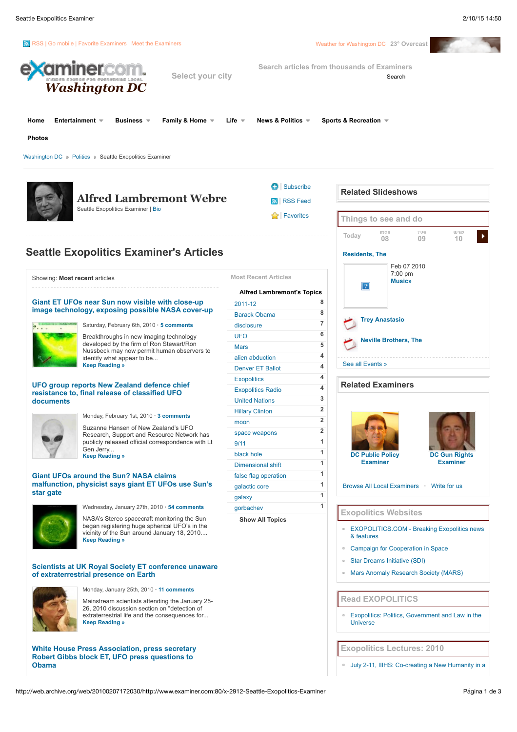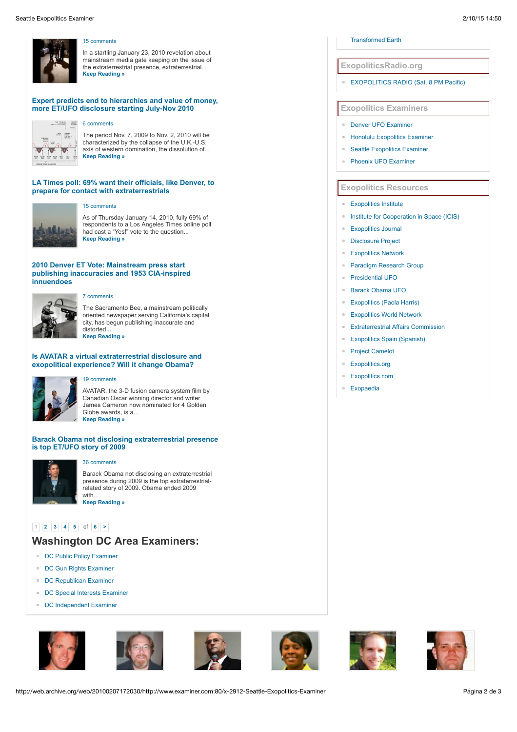

## [15 comments](http://web.archive.org/web/20100207172030/http://www.examiner.com/x-2912-Seattle-Exopolitics-Examiner~y2010m1d23-White-House-Press-Association-press-secretary-Robert-Gibbs-block-ET-UFO-press-questions-to-Obama#comments)

In a startling January 23, 2010 revelation about mainstream media gate keeping on the issue of the extraterrestrial presence, extraterrestrial... **[Keep Reading »](http://web.archive.org/web/20100207172030/http://www.examiner.com/x-2912-Seattle-Exopolitics-Examiner~y2010m1d23-White-House-Press-Association-press-secretary-Robert-Gibbs-block-ET-UFO-press-questions-to-Obama)**

# **[Expert predicts end to hierarchies and value of money,](http://web.archive.org/web/20100207172030/http://www.examiner.com/x-2912-Seattle-Exopolitics-Examiner~y2010m1d19-Expert-predicts-end-to-hierarchies-and-value-of-money-more-ETUFO-disclosure-starting-JulyNov-2010) more ET/UFO disclosure starting July-Nov 2010**



The period Nov. 7, 2009 to Nov. 2, 2010 will be characterized by the collapse of the U.K.-U.S. axis of western domination, the dissolution of...

#### **[LA Times poll: 69% want their officials, like Denver, to](http://web.archive.org/web/20100207172030/http://www.examiner.com/x-2912-Seattle-Exopolitics-Examiner~y2010m1d14-LA-Times-poll-69-want-their-officials-like-Denver-to-prepare-for-contact-with-extraterrestrials) prepare for contact with extraterrestrials**



#### [15 comments](http://web.archive.org/web/20100207172030/http://www.examiner.com/x-2912-Seattle-Exopolitics-Examiner~y2010m1d14-LA-Times-poll-69-want-their-officials-like-Denver-to-prepare-for-contact-with-extraterrestrials#comments)

As of Thursday January 14, 2010, fully 69% of respondents to a Los Angeles Times online poll had cast a "Yes!" vote to the question... **[Keep Reading »](http://web.archive.org/web/20100207172030/http://www.examiner.com/x-2912-Seattle-Exopolitics-Examiner~y2010m1d14-LA-Times-poll-69-want-their-officials-like-Denver-to-prepare-for-contact-with-extraterrestrials)**

# **2010 Denver ET Vote: Mainstream press start [publishing inaccuracies and 1953 CIA-inspired](http://web.archive.org/web/20100207172030/http://www.examiner.com/x-2912-Seattle-Exopolitics-Examiner~y2010m1d12-2010-Denver-ET-Vote-Mainstream-press-start-publishing-inaccuracies-and-1953-CIAinspired-innuendoes) innuendoes**



# [7 comments](http://web.archive.org/web/20100207172030/http://www.examiner.com/x-2912-Seattle-Exopolitics-Examiner~y2010m1d12-2010-Denver-ET-Vote-Mainstream-press-start-publishing-inaccuracies-and-1953-CIAinspired-innuendoes#comments)

The Sacramento Bee, a mainstream politically oriented newspaper serving California's capital city, has begun publishing inaccurate and distorted... **[Keep Reading »](http://web.archive.org/web/20100207172030/http://www.examiner.com/x-2912-Seattle-Exopolitics-Examiner~y2010m1d12-2010-Denver-ET-Vote-Mainstream-press-start-publishing-inaccuracies-and-1953-CIAinspired-innuendoes)**

# **[Is AVATAR a virtual extraterrestrial disclosure and](http://web.archive.org/web/20100207172030/http://www.examiner.com/x-2912-Seattle-Exopolitics-Examiner~y2010m1d7-Is-AVATAR-a-virtual-extraterrestrial-disclosure-and-exopolitical-experience-Will-it-change-Obama) exopolitical experience? Will it change Obama?**

# [19 comments](http://web.archive.org/web/20100207172030/http://www.examiner.com/x-2912-Seattle-Exopolitics-Examiner~y2010m1d7-Is-AVATAR-a-virtual-extraterrestrial-disclosure-and-exopolitical-experience-Will-it-change-Obama#comments)

AVATAR, the 3-D fusion camera system film by Canadian Oscar winning director and writer James Cameron now nominated for 4 Golden Globe awards, is a... **[Keep Reading »](http://web.archive.org/web/20100207172030/http://www.examiner.com/x-2912-Seattle-Exopolitics-Examiner~y2010m1d7-Is-AVATAR-a-virtual-extraterrestrial-disclosure-and-exopolitical-experience-Will-it-change-Obama)**

## **[Barack Obama not disclosing extraterrestrial presence](http://web.archive.org/web/20100207172030/http://www.examiner.com/x-2912-Seattle-Exopolitics-Examiner~y2010m1d3-Barack-Obama-not-disclosing-extraterrestrial-presence-is-top-ETUFO-story-of-2009) is top ET/UFO story of 2009**



# [36 comments](http://web.archive.org/web/20100207172030/http://www.examiner.com/x-2912-Seattle-Exopolitics-Examiner~y2010m1d3-Barack-Obama-not-disclosing-extraterrestrial-presence-is-top-ETUFO-story-of-2009#comments)

Barack Obama not disclosing an extraterrestrial presence during 2009 is the top extraterrestrialrelated story of 2009. Obama ended 2009 with... **[Keep Reading »](http://web.archive.org/web/20100207172030/http://www.examiner.com/x-2912-Seattle-Exopolitics-Examiner~y2010m1d3-Barack-Obama-not-disclosing-extraterrestrial-presence-is-top-ETUFO-story-of-2009)**

# **[1](javascript:pageing_1265563316328_clicknumber(1,6);) [2](javascript:Javascript:pageing_1265563316328_clicknumber(2,6);) [3](javascript:Javascript:pageing_1265563316328_clicknumber(3,6);) [4](javascript:Javascript:pageing_1265563316328_clicknumber(4,6);) [5](javascript:Javascript:pageing_1265563316328_clicknumber(5,6);)** of **[6](javascript:pageing_1265563316328_clicknumber(6,6)) [>](javascript:pageing_1265563316328_clicknumber(2,6);)**

# **Washington DC Area Examiners:**

- [DC Public Policy Examiner](http://web.archive.org/web/20100207172030/http://www.examiner.com/x-5968-DC-Public-Policy-Examiner)
- [DC Gun Rights Examiner](http://web.archive.org/web/20100207172030/http://www.examiner.com/x-2782-DC-Gun-Rights-Examiner)
- [DC Republican Examiner](http://web.archive.org/web/20100207172030/http://www.examiner.com/x-2304-DC-Republican-Examiner)
- [DC Special Interests Examiner](http://web.archive.org/web/20100207172030/http://www.examiner.com/x-2071-DC-Special-Interests-Examiner)
- [DC Independent Examiner](http://web.archive.org/web/20100207172030/http://www.examiner.com/x-25466-DC-Independent-Examiner)













# [Transformed Earth](http://web.archive.org/web/20100207172030/http://www.iiihs.org/)

## **ExopoliticsRadio.org**

**[EXOPOLITICS RADIO \(Sat. 8 PM Pacific\)](http://web.archive.org/web/20100207172030/http://www.exopoliticsradio.org/)** 

# **Exopolitics Examiners**

- [Denver UFO Examiner](http://web.archive.org/web/20100207172030/http://www.examiner.com/x-2024-Denver-UFO-Examiner)
- [Honolulu Exopolitics Examiner](http://web.archive.org/web/20100207172030/http://www.examiner.com/x-2383-Honolulu-Exopolitics-Examiner)
- [Seattle Exopolitics Examiner](http://web.archive.org/web/20100207172030/http://www.examiner.com/x-2912-Seattle-Exopolitics-Examiner)
- [Phoenix UFO Examiner](http://web.archive.org/web/20100207172030/http://www.examiner.com/x-3766-Phoenix-UFO-Examiner)

# **Exopolitics Resources**

## **[Exopolitics Institute](http://web.archive.org/web/20100207172030/http://exopoliticsinstitute.org/)**

- **[Institute for Cooperation in Space \(ICIS\)](http://web.archive.org/web/20100207172030/http://www.peaceinspace.com/)**
- **[Exopolitics Journal](http://web.archive.org/web/20100207172030/http://exopoliticsjournal.com/)**
- $\blacksquare$ [Disclosure Project](http://web.archive.org/web/20100207172030/http://www.disclosureproject.org/)
- [Exopolitics Network](http://web.archive.org/web/20100207172030/http://exopoliticsinstitute.org/network.htm)
- [Paradigm Research Group](http://web.archive.org/web/20100207172030/http://www.paradigmresearchgroup.org/)
- [Presidential UFO](http://web.archive.org/web/20100207172030/http://www.presidentialufo.com/)
- $\blacksquare$ [Barack Obama UFO](http://web.archive.org/web/20100207172030/http://www.barackobamaufo.com/)
- [Exopolitics \(Paola Harris\)](http://web.archive.org/web/20100207172030/http://www.paolaharris.com/)
	- [Exopolitics World Network](http://web.archive.org/web/20100207172030/http://www.exopoliticsworld.net/)
- [Extraterrestrial Affairs Commission](http://web.archive.org/web/20100207172030/http://www.extracampaign.org/)
- **[Exopolitics Spain \(Spanish\)](http://web.archive.org/web/20100207172030/http://www.exopoliticsspain.es/)**
- [Project Camelot](http://web.archive.org/web/20100207172030/http://www.projectcamelot.net/)
- **[Exopolitics.org](http://web.archive.org/web/20100207172030/http://www.exopolitics.org/)**
- [Exopolitics.com](http://web.archive.org/web/20100207172030/http://www.exopolitics.com/)
- [Exopaedia](http://web.archive.org/web/20100207172030/http://www.exopaedia.org/)